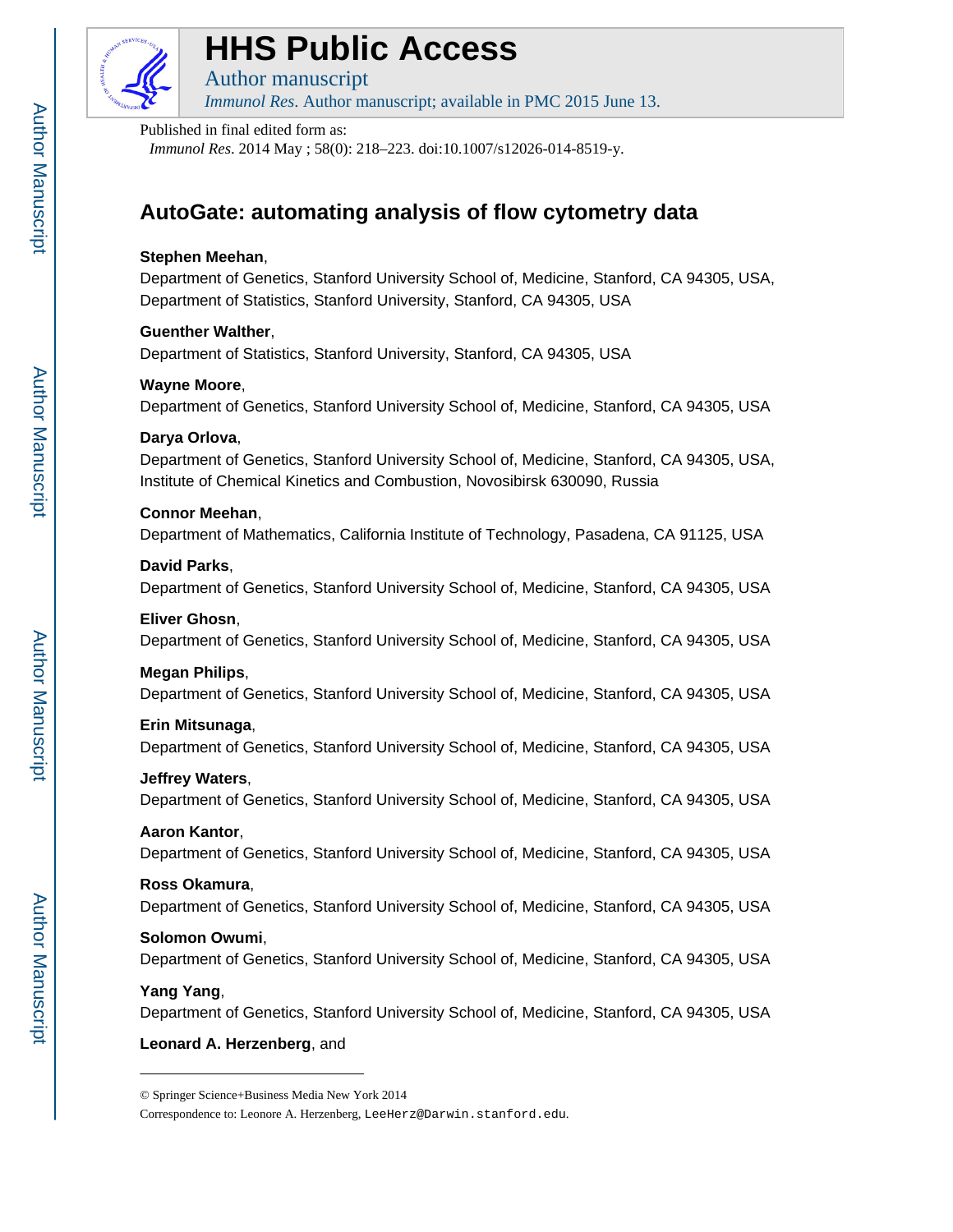

# **HHS Public Access**

Author manuscript

*Immunol Res*. Author manuscript; available in PMC 2015 June 13.

#### Published in final edited form as:

*Immunol Res*. 2014 May ; 58(0): 218–223. doi:10.1007/s12026-014-8519-y.

# **AutoGate: automating analysis of flow cytometry data**

# **Stephen Meehan**,

Department of Genetics, Stanford University School of, Medicine, Stanford, CA 94305, USA, Department of Statistics, Stanford University, Stanford, CA 94305, USA

# **Guenther Walther**,

Department of Statistics, Stanford University, Stanford, CA 94305, USA

# **Wayne Moore**,

Department of Genetics, Stanford University School of, Medicine, Stanford, CA 94305, USA

# **Darya Orlova**,

Department of Genetics, Stanford University School of, Medicine, Stanford, CA 94305, USA, Institute of Chemical Kinetics and Combustion, Novosibirsk 630090, Russia

# **Connor Meehan**,

Department of Mathematics, California Institute of Technology, Pasadena, CA 91125, USA

#### **David Parks**,

Department of Genetics, Stanford University School of, Medicine, Stanford, CA 94305, USA

#### **Eliver Ghosn**,

Department of Genetics, Stanford University School of, Medicine, Stanford, CA 94305, USA

#### **Megan Philips**,

Department of Genetics, Stanford University School of, Medicine, Stanford, CA 94305, USA

# **Erin Mitsunaga**,

Department of Genetics, Stanford University School of, Medicine, Stanford, CA 94305, USA

#### **Jeffrey Waters**,

Department of Genetics, Stanford University School of, Medicine, Stanford, CA 94305, USA

#### **Aaron Kantor**,

Department of Genetics, Stanford University School of, Medicine, Stanford, CA 94305, USA

#### **Ross Okamura**,

Department of Genetics, Stanford University School of, Medicine, Stanford, CA 94305, USA

#### **Solomon Owumi**,

Department of Genetics, Stanford University School of, Medicine, Stanford, CA 94305, USA

#### **Yang Yang**,

Department of Genetics, Stanford University School of, Medicine, Stanford, CA 94305, USA

#### **Leonard A. Herzenberg**, and

<sup>©</sup> Springer Science+Business Media New York 2014

Correspondence to: Leonore A. Herzenberg, LeeHerz@Darwin.stanford.edu.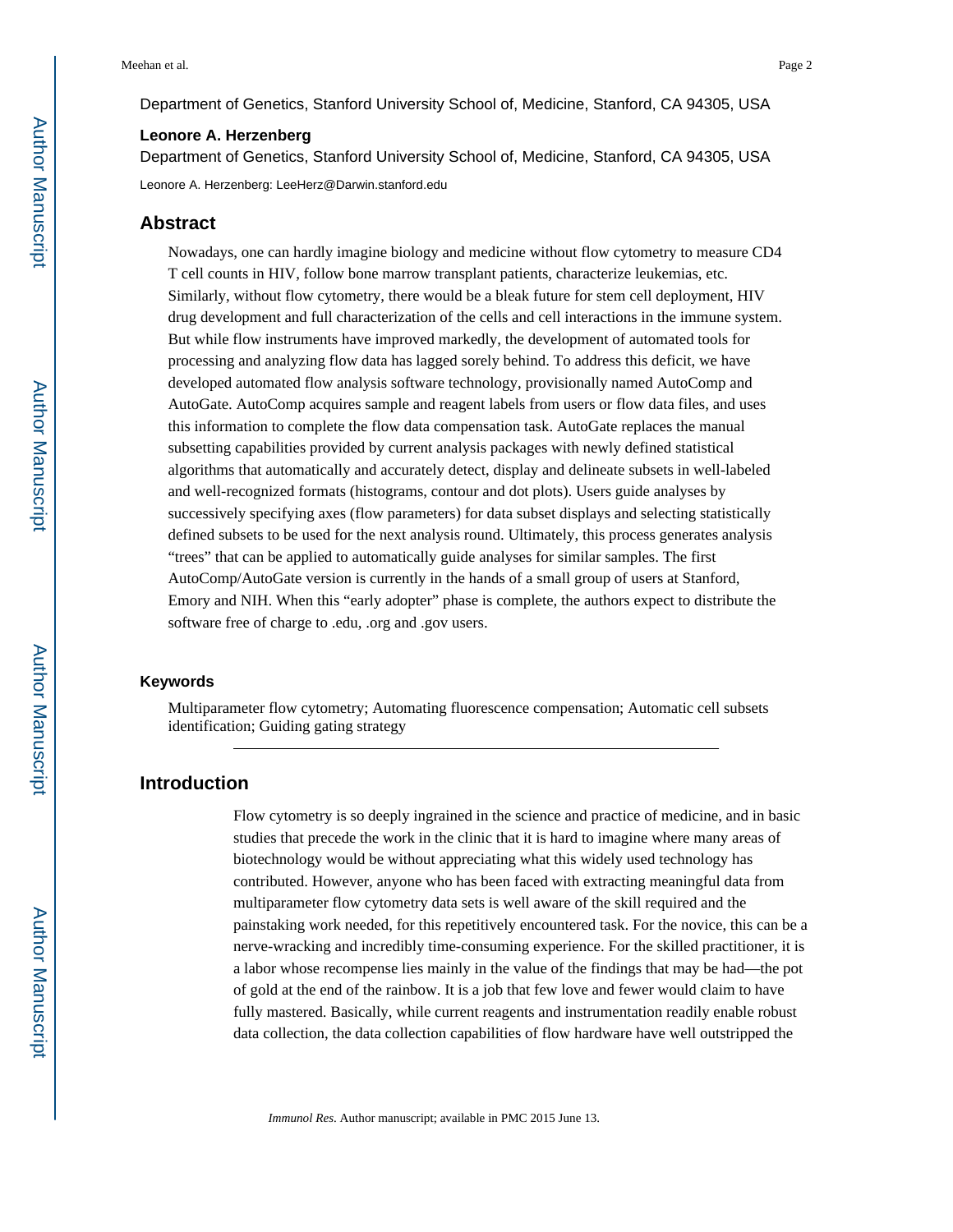Department of Genetics, Stanford University School of, Medicine, Stanford, CA 94305, USA

#### **Leonore A. Herzenberg**

Department of Genetics, Stanford University School of, Medicine, Stanford, CA 94305, USA

Leonore A. Herzenberg: LeeHerz@Darwin.stanford.edu

#### **Abstract**

Nowadays, one can hardly imagine biology and medicine without flow cytometry to measure CD4 T cell counts in HIV, follow bone marrow transplant patients, characterize leukemias, etc. Similarly, without flow cytometry, there would be a bleak future for stem cell deployment, HIV drug development and full characterization of the cells and cell interactions in the immune system. But while flow instruments have improved markedly, the development of automated tools for processing and analyzing flow data has lagged sorely behind. To address this deficit, we have developed automated flow analysis software technology, provisionally named AutoComp and AutoGate. AutoComp acquires sample and reagent labels from users or flow data files, and uses this information to complete the flow data compensation task. AutoGate replaces the manual subsetting capabilities provided by current analysis packages with newly defined statistical algorithms that automatically and accurately detect, display and delineate subsets in well-labeled and well-recognized formats (histograms, contour and dot plots). Users guide analyses by successively specifying axes (flow parameters) for data subset displays and selecting statistically defined subsets to be used for the next analysis round. Ultimately, this process generates analysis "trees" that can be applied to automatically guide analyses for similar samples. The first AutoComp/AutoGate version is currently in the hands of a small group of users at Stanford, Emory and NIH. When this "early adopter" phase is complete, the authors expect to distribute the software free of charge to .edu, .org and .gov users.

#### **Keywords**

Multiparameter flow cytometry; Automating fluorescence compensation; Automatic cell subsets identification; Guiding gating strategy

#### **Introduction**

Flow cytometry is so deeply ingrained in the science and practice of medicine, and in basic studies that precede the work in the clinic that it is hard to imagine where many areas of biotechnology would be without appreciating what this widely used technology has contributed. However, anyone who has been faced with extracting meaningful data from multiparameter flow cytometry data sets is well aware of the skill required and the painstaking work needed, for this repetitively encountered task. For the novice, this can be a nerve-wracking and incredibly time-consuming experience. For the skilled practitioner, it is a labor whose recompense lies mainly in the value of the findings that may be had—the pot of gold at the end of the rainbow. It is a job that few love and fewer would claim to have fully mastered. Basically, while current reagents and instrumentation readily enable robust data collection, the data collection capabilities of flow hardware have well outstripped the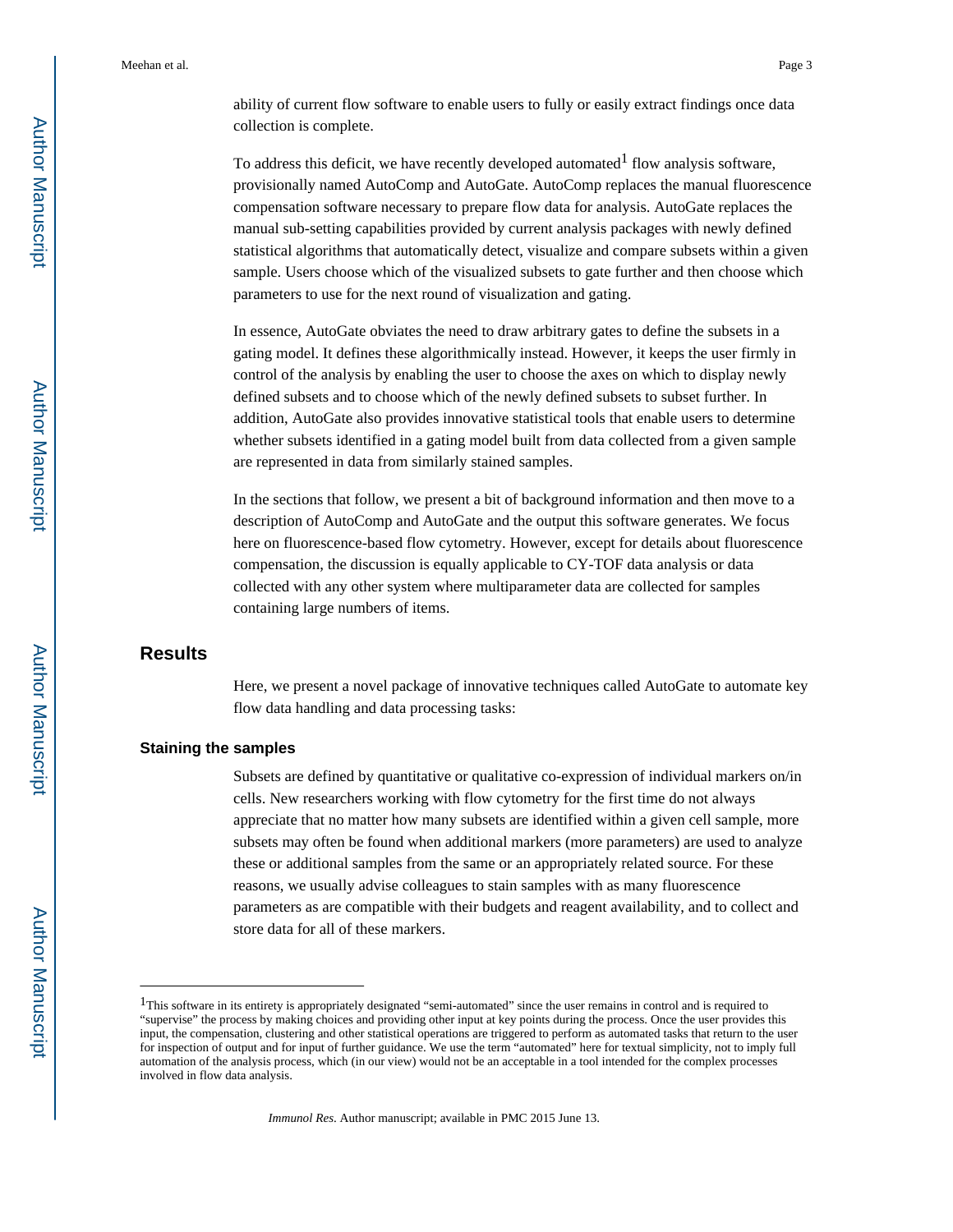ability of current flow software to enable users to fully or easily extract findings once data collection is complete.

To address this deficit, we have recently developed automated<sup>1</sup> flow analysis software, provisionally named AutoComp and AutoGate. AutoComp replaces the manual fluorescence compensation software necessary to prepare flow data for analysis. AutoGate replaces the manual sub-setting capabilities provided by current analysis packages with newly defined statistical algorithms that automatically detect, visualize and compare subsets within a given sample. Users choose which of the visualized subsets to gate further and then choose which parameters to use for the next round of visualization and gating.

In essence, AutoGate obviates the need to draw arbitrary gates to define the subsets in a gating model. It defines these algorithmically instead. However, it keeps the user firmly in control of the analysis by enabling the user to choose the axes on which to display newly defined subsets and to choose which of the newly defined subsets to subset further. In addition, AutoGate also provides innovative statistical tools that enable users to determine whether subsets identified in a gating model built from data collected from a given sample are represented in data from similarly stained samples.

In the sections that follow, we present a bit of background information and then move to a description of AutoComp and AutoGate and the output this software generates. We focus here on fluorescence-based flow cytometry. However, except for details about fluorescence compensation, the discussion is equally applicable to CY-TOF data analysis or data collected with any other system where multiparameter data are collected for samples containing large numbers of items.

# **Results**

Here, we present a novel package of innovative techniques called AutoGate to automate key flow data handling and data processing tasks:

#### **Staining the samples**

Subsets are defined by quantitative or qualitative co-expression of individual markers on/in cells. New researchers working with flow cytometry for the first time do not always appreciate that no matter how many subsets are identified within a given cell sample, more subsets may often be found when additional markers (more parameters) are used to analyze these or additional samples from the same or an appropriately related source. For these reasons, we usually advise colleagues to stain samples with as many fluorescence parameters as are compatible with their budgets and reagent availability, and to collect and store data for all of these markers.

<sup>&</sup>lt;sup>1</sup>This software in its entirety is appropriately designated "semi-automated" since the user remains in control and is required to "supervise" the process by making choices and providing other input at key points during the process. Once the user provides this input, the compensation, clustering and other statistical operations are triggered to perform as automated tasks that return to the user for inspection of output and for input of further guidance. We use the term "automated" here for textual simplicity, not to imply full automation of the analysis process, which (in our view) would not be an acceptable in a tool intended for the complex processes involved in flow data analysis.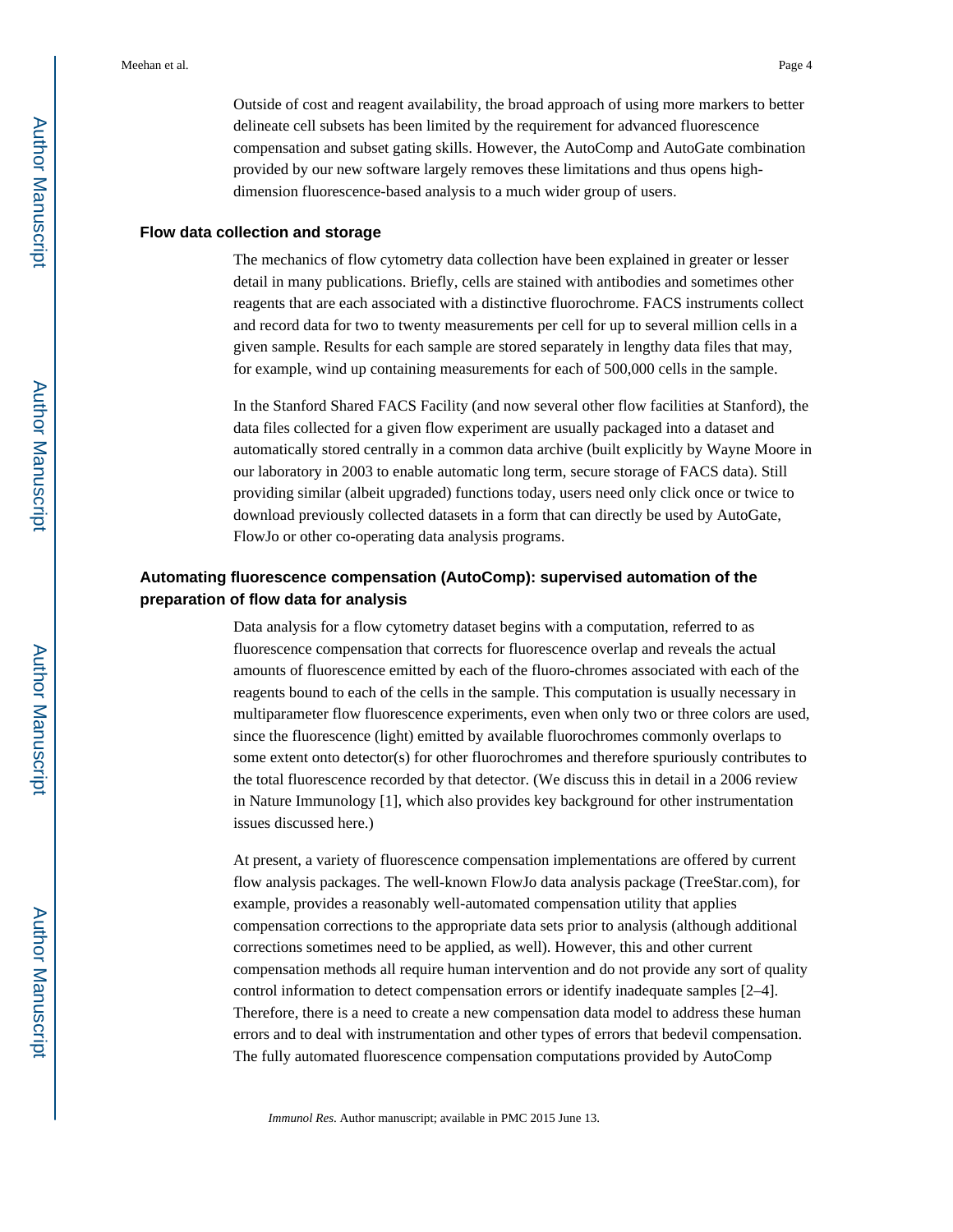Outside of cost and reagent availability, the broad approach of using more markers to better delineate cell subsets has been limited by the requirement for advanced fluorescence compensation and subset gating skills. However, the AutoComp and AutoGate combination provided by our new software largely removes these limitations and thus opens highdimension fluorescence-based analysis to a much wider group of users.

#### **Flow data collection and storage**

The mechanics of flow cytometry data collection have been explained in greater or lesser detail in many publications. Briefly, cells are stained with antibodies and sometimes other reagents that are each associated with a distinctive fluorochrome. FACS instruments collect and record data for two to twenty measurements per cell for up to several million cells in a given sample. Results for each sample are stored separately in lengthy data files that may, for example, wind up containing measurements for each of 500,000 cells in the sample.

In the Stanford Shared FACS Facility (and now several other flow facilities at Stanford), the data files collected for a given flow experiment are usually packaged into a dataset and automatically stored centrally in a common data archive (built explicitly by Wayne Moore in our laboratory in 2003 to enable automatic long term, secure storage of FACS data). Still providing similar (albeit upgraded) functions today, users need only click once or twice to download previously collected datasets in a form that can directly be used by AutoGate, FlowJo or other co-operating data analysis programs.

#### **Automating fluorescence compensation (AutoComp): supervised automation of the preparation of flow data for analysis**

Data analysis for a flow cytometry dataset begins with a computation, referred to as fluorescence compensation that corrects for fluorescence overlap and reveals the actual amounts of fluorescence emitted by each of the fluoro-chromes associated with each of the reagents bound to each of the cells in the sample. This computation is usually necessary in multiparameter flow fluorescence experiments, even when only two or three colors are used, since the fluorescence (light) emitted by available fluorochromes commonly overlaps to some extent onto detector(s) for other fluorochromes and therefore spuriously contributes to the total fluorescence recorded by that detector. (We discuss this in detail in a 2006 review in Nature Immunology [1], which also provides key background for other instrumentation issues discussed here.)

At present, a variety of fluorescence compensation implementations are offered by current flow analysis packages. The well-known FlowJo data analysis package (TreeStar.com), for example, provides a reasonably well-automated compensation utility that applies compensation corrections to the appropriate data sets prior to analysis (although additional corrections sometimes need to be applied, as well). However, this and other current compensation methods all require human intervention and do not provide any sort of quality control information to detect compensation errors or identify inadequate samples [2–4]. Therefore, there is a need to create a new compensation data model to address these human errors and to deal with instrumentation and other types of errors that bedevil compensation. The fully automated fluorescence compensation computations provided by AutoComp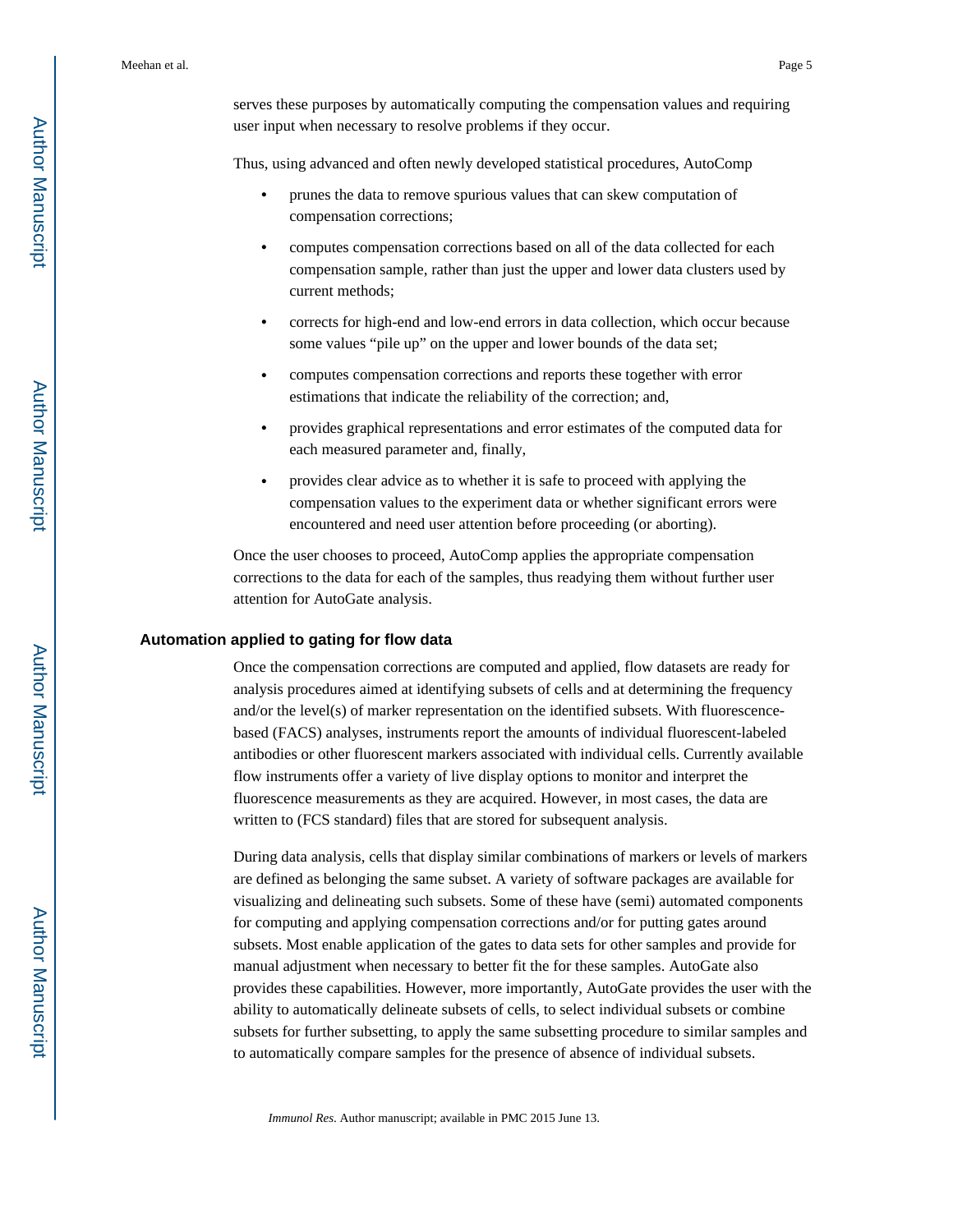serves these purposes by automatically computing the compensation values and requiring user input when necessary to resolve problems if they occur.

Thus, using advanced and often newly developed statistical procedures, AutoComp

- **•** prunes the data to remove spurious values that can skew computation of compensation corrections;
- **•** computes compensation corrections based on all of the data collected for each compensation sample, rather than just the upper and lower data clusters used by current methods;
- **•** corrects for high-end and low-end errors in data collection, which occur because some values "pile up" on the upper and lower bounds of the data set;
- **•** computes compensation corrections and reports these together with error estimations that indicate the reliability of the correction; and,
- **•** provides graphical representations and error estimates of the computed data for each measured parameter and, finally,
- **•** provides clear advice as to whether it is safe to proceed with applying the compensation values to the experiment data or whether significant errors were encountered and need user attention before proceeding (or aborting).

Once the user chooses to proceed, AutoComp applies the appropriate compensation corrections to the data for each of the samples, thus readying them without further user attention for AutoGate analysis.

#### **Automation applied to gating for flow data**

Once the compensation corrections are computed and applied, flow datasets are ready for analysis procedures aimed at identifying subsets of cells and at determining the frequency and/or the level(s) of marker representation on the identified subsets. With fluorescencebased (FACS) analyses, instruments report the amounts of individual fluorescent-labeled antibodies or other fluorescent markers associated with individual cells. Currently available flow instruments offer a variety of live display options to monitor and interpret the fluorescence measurements as they are acquired. However, in most cases, the data are written to (FCS standard) files that are stored for subsequent analysis.

During data analysis, cells that display similar combinations of markers or levels of markers are defined as belonging the same subset. A variety of software packages are available for visualizing and delineating such subsets. Some of these have (semi) automated components for computing and applying compensation corrections and/or for putting gates around subsets. Most enable application of the gates to data sets for other samples and provide for manual adjustment when necessary to better fit the for these samples. AutoGate also provides these capabilities. However, more importantly, AutoGate provides the user with the ability to automatically delineate subsets of cells, to select individual subsets or combine subsets for further subsetting, to apply the same subsetting procedure to similar samples and to automatically compare samples for the presence of absence of individual subsets.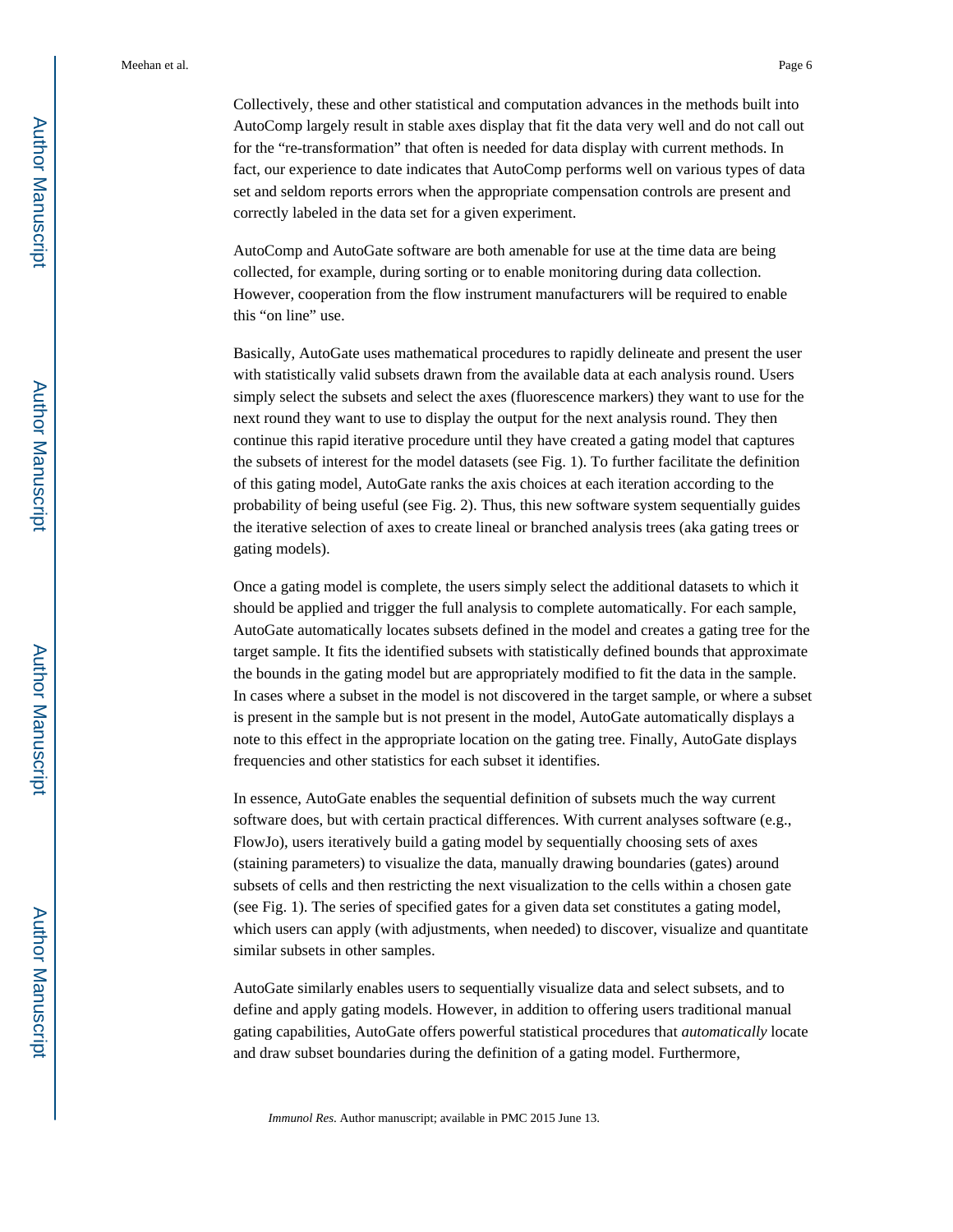Collectively, these and other statistical and computation advances in the methods built into AutoComp largely result in stable axes display that fit the data very well and do not call out for the "re-transformation" that often is needed for data display with current methods. In fact, our experience to date indicates that AutoComp performs well on various types of data set and seldom reports errors when the appropriate compensation controls are present and correctly labeled in the data set for a given experiment.

AutoComp and AutoGate software are both amenable for use at the time data are being collected, for example, during sorting or to enable monitoring during data collection. However, cooperation from the flow instrument manufacturers will be required to enable this "on line" use.

Basically, AutoGate uses mathematical procedures to rapidly delineate and present the user with statistically valid subsets drawn from the available data at each analysis round. Users simply select the subsets and select the axes (fluorescence markers) they want to use for the next round they want to use to display the output for the next analysis round. They then continue this rapid iterative procedure until they have created a gating model that captures the subsets of interest for the model datasets (see Fig. 1). To further facilitate the definition of this gating model, AutoGate ranks the axis choices at each iteration according to the probability of being useful (see Fig. 2). Thus, this new software system sequentially guides the iterative selection of axes to create lineal or branched analysis trees (aka gating trees or gating models).

Once a gating model is complete, the users simply select the additional datasets to which it should be applied and trigger the full analysis to complete automatically. For each sample, AutoGate automatically locates subsets defined in the model and creates a gating tree for the target sample. It fits the identified subsets with statistically defined bounds that approximate the bounds in the gating model but are appropriately modified to fit the data in the sample. In cases where a subset in the model is not discovered in the target sample, or where a subset is present in the sample but is not present in the model, AutoGate automatically displays a note to this effect in the appropriate location on the gating tree. Finally, AutoGate displays frequencies and other statistics for each subset it identifies.

In essence, AutoGate enables the sequential definition of subsets much the way current software does, but with certain practical differences. With current analyses software (e.g., FlowJo), users iteratively build a gating model by sequentially choosing sets of axes (staining parameters) to visualize the data, manually drawing boundaries (gates) around subsets of cells and then restricting the next visualization to the cells within a chosen gate (see Fig. 1). The series of specified gates for a given data set constitutes a gating model, which users can apply (with adjustments, when needed) to discover, visualize and quantitate similar subsets in other samples.

AutoGate similarly enables users to sequentially visualize data and select subsets, and to define and apply gating models. However, in addition to offering users traditional manual gating capabilities, AutoGate offers powerful statistical procedures that *automatically* locate and draw subset boundaries during the definition of a gating model. Furthermore,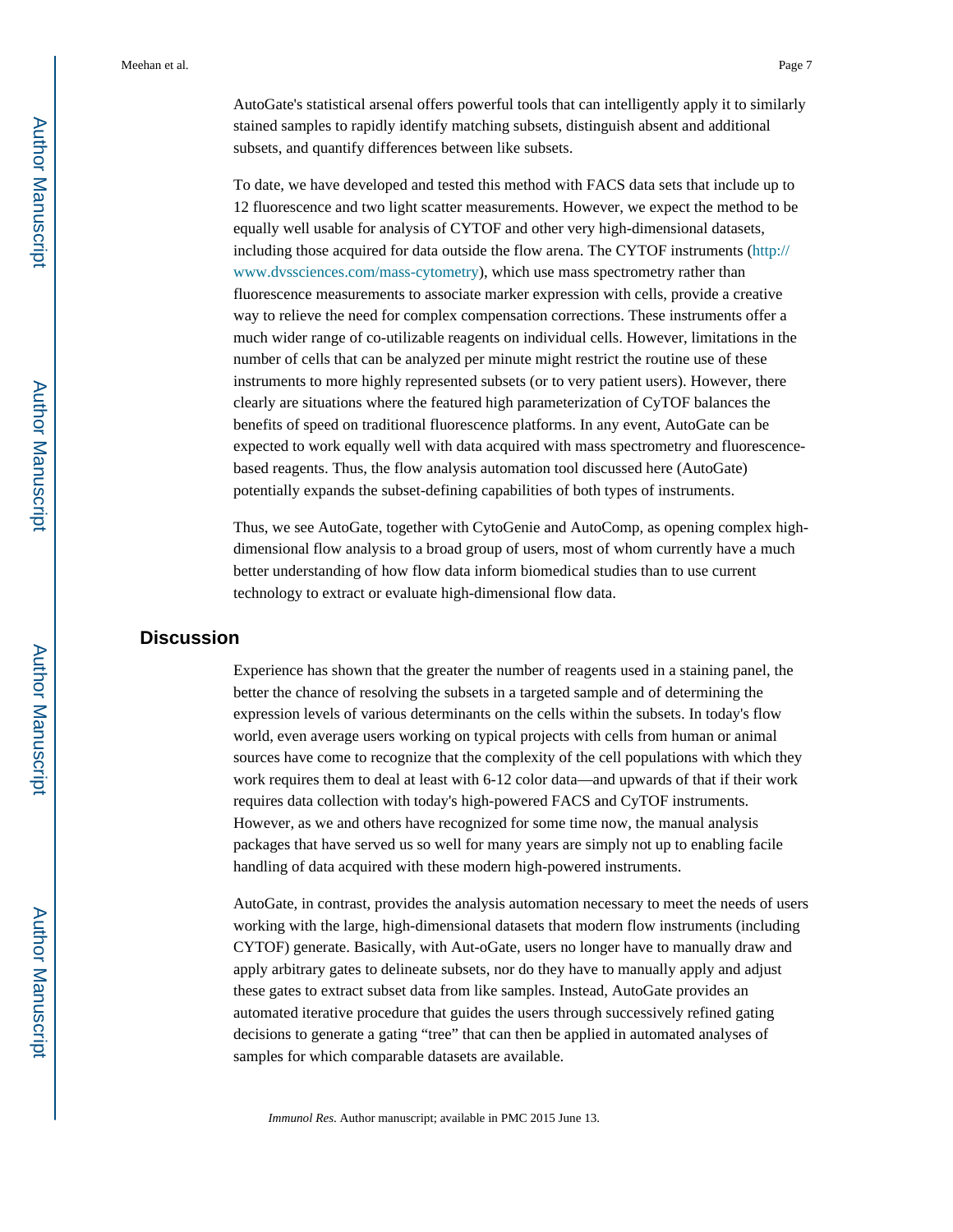AutoGate's statistical arsenal offers powerful tools that can intelligently apply it to similarly stained samples to rapidly identify matching subsets, distinguish absent and additional subsets, and quantify differences between like subsets.

To date, we have developed and tested this method with FACS data sets that include up to 12 fluorescence and two light scatter measurements. However, we expect the method to be equally well usable for analysis of CYTOF and other very high-dimensional datasets, including those acquired for data outside the flow arena. The CYTOF instruments ([http://](http://www.dvssciences.com/mass-cytometry) [www.dvssciences.com/mass-cytometry\)](http://www.dvssciences.com/mass-cytometry), which use mass spectrometry rather than fluorescence measurements to associate marker expression with cells, provide a creative way to relieve the need for complex compensation corrections. These instruments offer a much wider range of co-utilizable reagents on individual cells. However, limitations in the number of cells that can be analyzed per minute might restrict the routine use of these instruments to more highly represented subsets (or to very patient users). However, there clearly are situations where the featured high parameterization of CyTOF balances the benefits of speed on traditional fluorescence platforms. In any event, AutoGate can be expected to work equally well with data acquired with mass spectrometry and fluorescencebased reagents. Thus, the flow analysis automation tool discussed here (AutoGate) potentially expands the subset-defining capabilities of both types of instruments.

Thus, we see AutoGate, together with CytoGenie and AutoComp, as opening complex highdimensional flow analysis to a broad group of users, most of whom currently have a much better understanding of how flow data inform biomedical studies than to use current technology to extract or evaluate high-dimensional flow data.

### **Discussion**

Experience has shown that the greater the number of reagents used in a staining panel, the better the chance of resolving the subsets in a targeted sample and of determining the expression levels of various determinants on the cells within the subsets. In today's flow world, even average users working on typical projects with cells from human or animal sources have come to recognize that the complexity of the cell populations with which they work requires them to deal at least with 6-12 color data—and upwards of that if their work requires data collection with today's high-powered FACS and CyTOF instruments. However, as we and others have recognized for some time now, the manual analysis packages that have served us so well for many years are simply not up to enabling facile handling of data acquired with these modern high-powered instruments.

AutoGate, in contrast, provides the analysis automation necessary to meet the needs of users working with the large, high-dimensional datasets that modern flow instruments (including CYTOF) generate. Basically, with Aut-oGate, users no longer have to manually draw and apply arbitrary gates to delineate subsets, nor do they have to manually apply and adjust these gates to extract subset data from like samples. Instead, AutoGate provides an automated iterative procedure that guides the users through successively refined gating decisions to generate a gating "tree" that can then be applied in automated analyses of samples for which comparable datasets are available.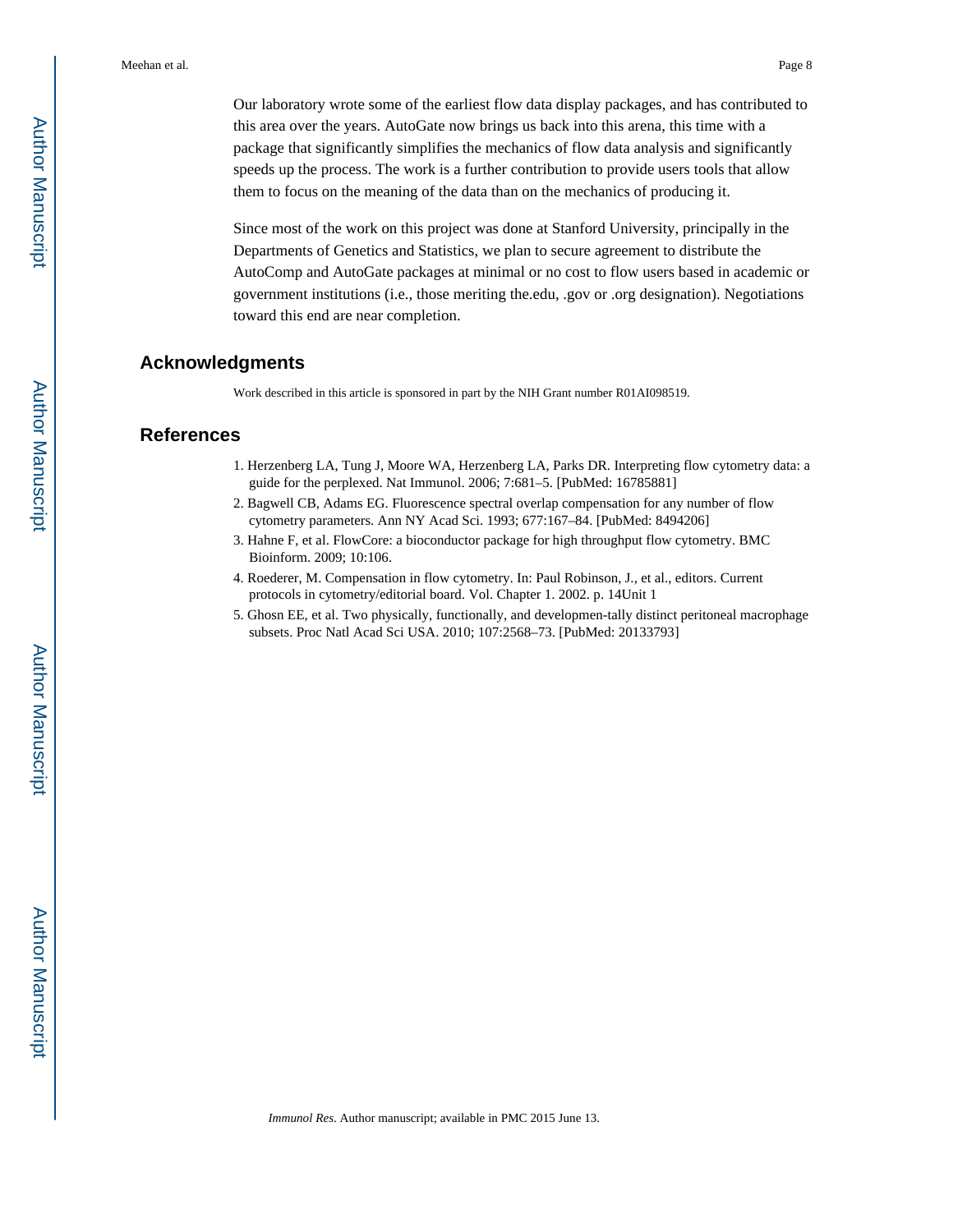Our laboratory wrote some of the earliest flow data display packages, and has contributed to this area over the years. AutoGate now brings us back into this arena, this time with a package that significantly simplifies the mechanics of flow data analysis and significantly speeds up the process. The work is a further contribution to provide users tools that allow them to focus on the meaning of the data than on the mechanics of producing it.

Since most of the work on this project was done at Stanford University, principally in the Departments of Genetics and Statistics, we plan to secure agreement to distribute the AutoComp and AutoGate packages at minimal or no cost to flow users based in academic or government institutions (i.e., those meriting the.edu, .gov or .org designation). Negotiations toward this end are near completion.

#### **Acknowledgments**

Work described in this article is sponsored in part by the NIH Grant number R01AI098519.

#### **References**

- 1. Herzenberg LA, Tung J, Moore WA, Herzenberg LA, Parks DR. Interpreting flow cytometry data: a guide for the perplexed. Nat Immunol. 2006; 7:681–5. [PubMed: 16785881]
- 2. Bagwell CB, Adams EG. Fluorescence spectral overlap compensation for any number of flow cytometry parameters. Ann NY Acad Sci. 1993; 677:167–84. [PubMed: 8494206]
- 3. Hahne F, et al. FlowCore: a bioconductor package for high throughput flow cytometry. BMC Bioinform. 2009; 10:106.
- 4. Roederer, M. Compensation in flow cytometry. In: Paul Robinson, J., et al., editors. Current protocols in cytometry/editorial board. Vol. Chapter 1. 2002. p. 14Unit 1
- 5. Ghosn EE, et al. Two physically, functionally, and developmen-tally distinct peritoneal macrophage subsets. Proc Natl Acad Sci USA. 2010; 107:2568–73. [PubMed: 20133793]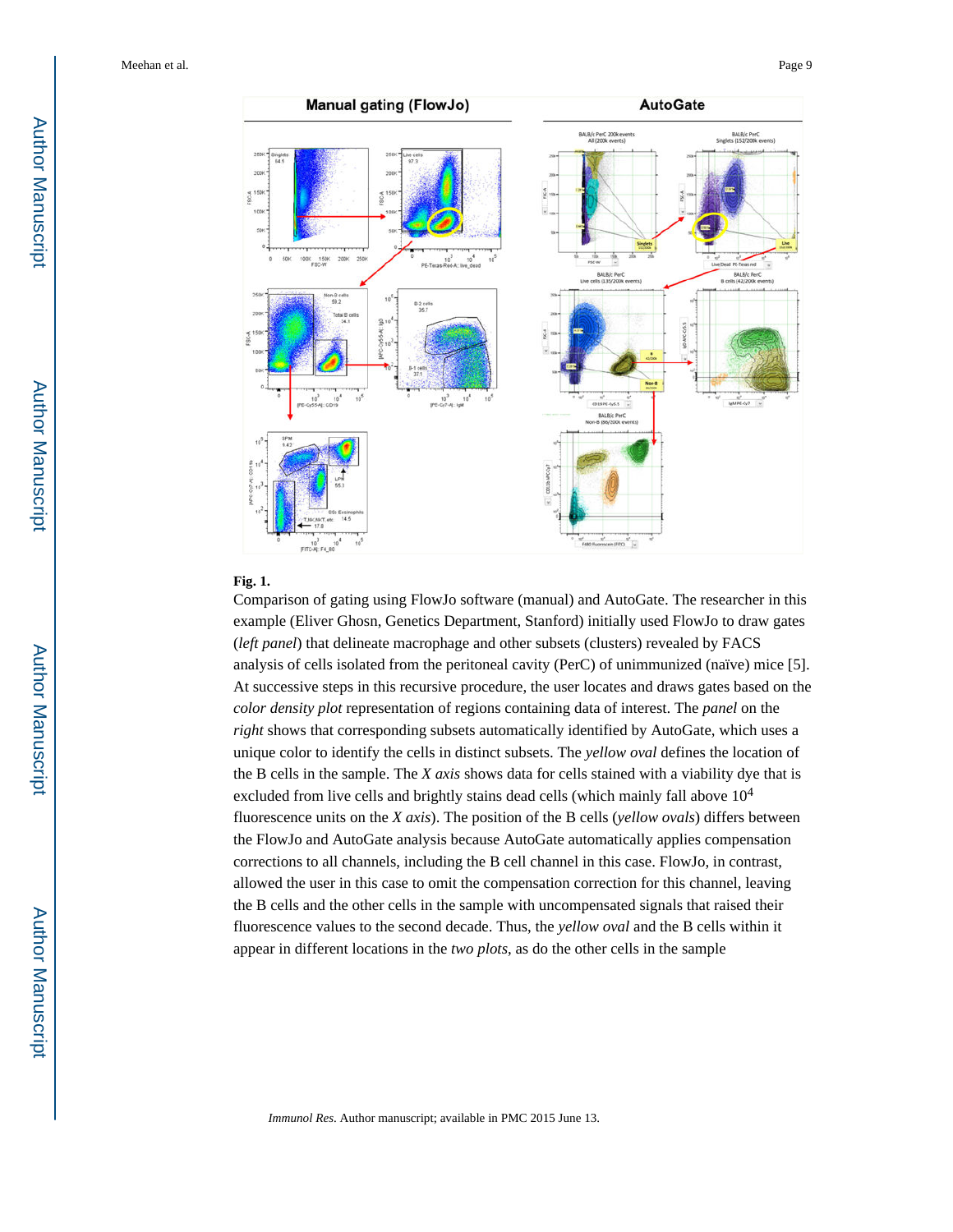

#### **Fig. 1.**

Comparison of gating using FlowJo software (manual) and AutoGate. The researcher in this example (Eliver Ghosn, Genetics Department, Stanford) initially used FlowJo to draw gates (*left panel*) that delineate macrophage and other subsets (clusters) revealed by FACS analysis of cells isolated from the peritoneal cavity (PerC) of unimmunized (naïve) mice [5]. At successive steps in this recursive procedure, the user locates and draws gates based on the *color density plot* representation of regions containing data of interest. The *panel* on the *right* shows that corresponding subsets automatically identified by AutoGate, which uses a unique color to identify the cells in distinct subsets. The *yellow oval* defines the location of the B cells in the sample. The *X axis* shows data for cells stained with a viability dye that is excluded from live cells and brightly stains dead cells (which mainly fall above  $10^4$ ) fluorescence units on the *X axis*). The position of the B cells (*yellow ovals*) differs between the FlowJo and AutoGate analysis because AutoGate automatically applies compensation corrections to all channels, including the B cell channel in this case. FlowJo, in contrast, allowed the user in this case to omit the compensation correction for this channel, leaving the B cells and the other cells in the sample with uncompensated signals that raised their fluorescence values to the second decade. Thus, the *yellow oval* and the B cells within it appear in different locations in the *two plots*, as do the other cells in the sample